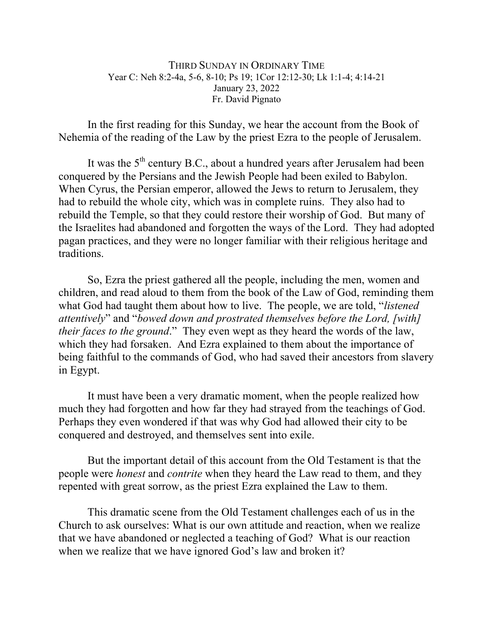## THIRD SUNDAY IN ORDINARY TIME Year C: Neh 8:2-4a, 5-6, 8-10; Ps 19; 1Cor 12:12-30; Lk 1:1-4; 4:14-21 January 23, 2022 Fr. David Pignato

In the first reading for this Sunday, we hear the account from the Book of Nehemia of the reading of the Law by the priest Ezra to the people of Jerusalem.

It was the  $5<sup>th</sup>$  century B.C., about a hundred years after Jerusalem had been conquered by the Persians and the Jewish People had been exiled to Babylon. When Cyrus, the Persian emperor, allowed the Jews to return to Jerusalem, they had to rebuild the whole city, which was in complete ruins. They also had to rebuild the Temple, so that they could restore their worship of God. But many of the Israelites had abandoned and forgotten the ways of the Lord. They had adopted pagan practices, and they were no longer familiar with their religious heritage and traditions.

So, Ezra the priest gathered all the people, including the men, women and children, and read aloud to them from the book of the Law of God, reminding them what God had taught them about how to live. The people, we are told, "*listened attentively*" and "*bowed down and prostrated themselves before the Lord, [with] their faces to the ground*." They even wept as they heard the words of the law, which they had forsaken. And Ezra explained to them about the importance of being faithful to the commands of God, who had saved their ancestors from slavery in Egypt.

It must have been a very dramatic moment, when the people realized how much they had forgotten and how far they had strayed from the teachings of God. Perhaps they even wondered if that was why God had allowed their city to be conquered and destroyed, and themselves sent into exile.

But the important detail of this account from the Old Testament is that the people were *honest* and *contrite* when they heard the Law read to them, and they repented with great sorrow, as the priest Ezra explained the Law to them.

This dramatic scene from the Old Testament challenges each of us in the Church to ask ourselves: What is our own attitude and reaction, when we realize that we have abandoned or neglected a teaching of God? What is our reaction when we realize that we have ignored God's law and broken it?